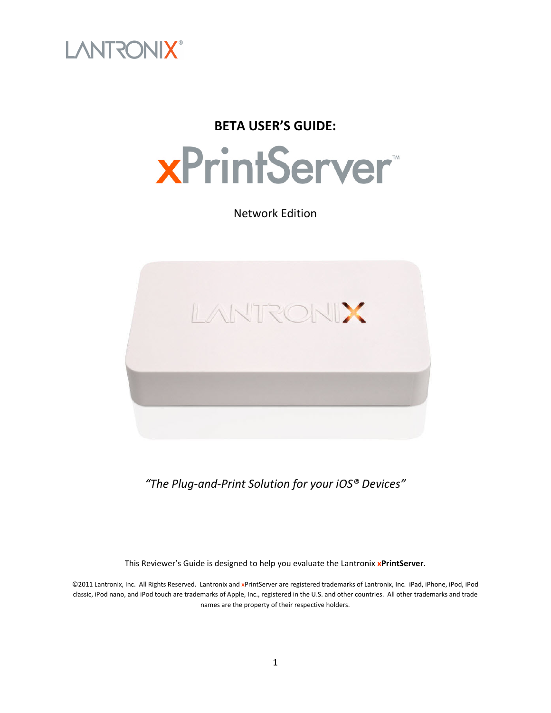

### **BETA USER'S GUIDE:**



Network Edition



*"The Plug-and-Print Solution for your iOS® Devices"*

This Reviewer's Guide is designed to help you evaluate the Lantronix **xPrintServer**.

©2011 Lantronix, Inc. All Rights Reserved. Lantronix and xPrintServer are registered trademarks of Lantronix, Inc. iPad, iPhone, iPod, iPod classic, iPod nano, and iPod touch are trademarks of Apple, Inc., registered in the U.S. and other countries. All other trademarks and trade names are the property of their respective holders.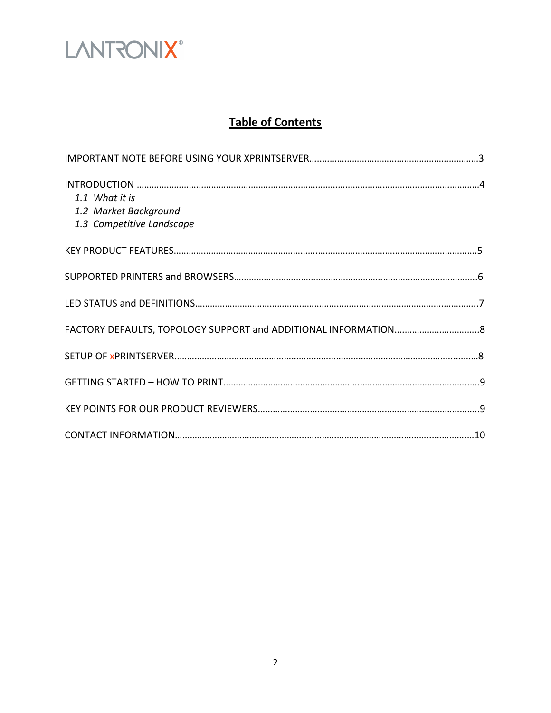

### **Table of Contents**

| 1.1 What it is<br>1.2 Market Background<br>1.3 Competitive Landscape |  |
|----------------------------------------------------------------------|--|
|                                                                      |  |
|                                                                      |  |
|                                                                      |  |
|                                                                      |  |
|                                                                      |  |
|                                                                      |  |
|                                                                      |  |
|                                                                      |  |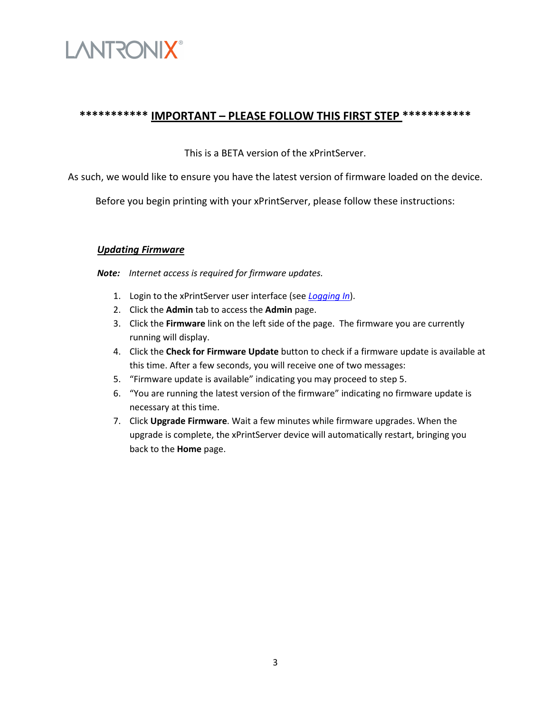

### **\*\*\*\*\*\*\*\*\*\*\* IMPORTANT – PLEASE FOLLOW THIS FIRST STEP \*\*\*\*\*\*\*\*\*\*\***

This is a BETA version of the xPrintServer.

As such, we would like to ensure you have the latest version of firmware loaded on the device.

Before you begin printing with your xPrintServer, please follow these instructions:

### *Updating Firmware*

*Note: Internet access is required for firmware updates.* 

- 1. Login to the xPrintServer user interface (see *Logging In*).
- 2. Click the **Admin** tab to access the **Admin** page.
- 3. Click the **Firmware** link on the left side of the page. The firmware you are currently running will display.
- 4. Click the **Check for Firmware Update** button to check if a firmware update is available at this time. After a few seconds, you will receive one of two messages:
- 5. "Firmware update is available" indicating you may proceed to step 5.
- 6. "You are running the latest version of the firmware" indicating no firmware update is necessary at this time.
- 7. Click **Upgrade Firmware**. Wait a few minutes while firmware upgrades. When the upgrade is complete, the xPrintServer device will automatically restart, bringing you back to the **Home** page.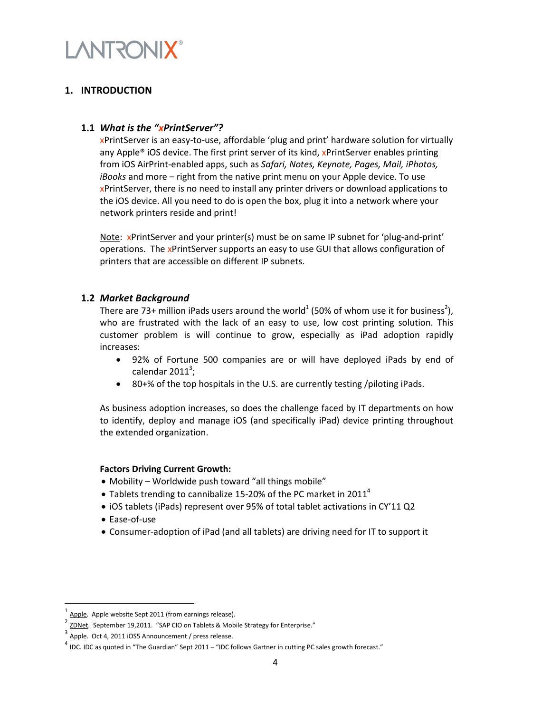

### **1. INTRODUCTION**

#### **1.1** *What is the "xPrintServer"?*

xPrintServer is an easy-to-use, affordable 'plug and print' hardware solution for virtually any Apple<sup>®</sup> iOS device. The first print server of its kind, xPrintServer enables printing from iOS AirPrint-enabled apps, such as *Safari, Notes, Keynote, Pages, Mail, iPhotos, iBooks* and more – right from the native print menu on your Apple device. To use xPrintServer, there is no need to install any printer drivers or download applications to the iOS device. All you need to do is open the box, plug it into a network where your network printers reside and print!

Note: xPrintServer and your printer(s) must be on same IP subnet for 'plug-and-print' operations. The xPrintServer supports an easy to use GUI that allows configuration of printers that are accessible on different IP subnets.

#### **1.2** *Market Background*

There are 73+ million iPads users around the world<sup>1</sup> (50% of whom use it for business<sup>2</sup>), who are frustrated with the lack of an easy to use, low cost printing solution. This customer problem is will continue to grow, especially as iPad adoption rapidly increases:

- 92% of Fortune 500 companies are or will have deployed iPads by end of calendar 2011 $^3$ ;
- 80+% of the top hospitals in the U.S. are currently testing /piloting iPads.

As business adoption increases, so does the challenge faced by IT departments on how to identify, deploy and manage iOS (and specifically iPad) device printing throughout the extended organization.

#### **Factors Driving Current Growth:**

- Mobility Worldwide push toward "all things mobile"
- Tablets trending to cannibalize 15-20% of the PC market in 2011<sup>4</sup>
- iOS tablets (iPads) represent over 95% of total tablet activations in CY'11 Q2
- Ease-of-use

l

• Consumer-adoption of iPad (and all tablets) are driving need for IT to support it

<sup>1</sup> Apple. Apple website Sept 2011 (from earnings release).

<sup>2</sup> ZDNet. September 19,2011. "SAP CIO on Tablets & Mobile Strategy for Enterprise."

<sup>3</sup> Apple. Oct 4, 2011 iOS5 Announcement / press release.

<sup>4</sup> IDC. IDC as quoted in "The Guardian" Sept 2011 – "IDC follows Gartner in cutting PC sales growth forecast."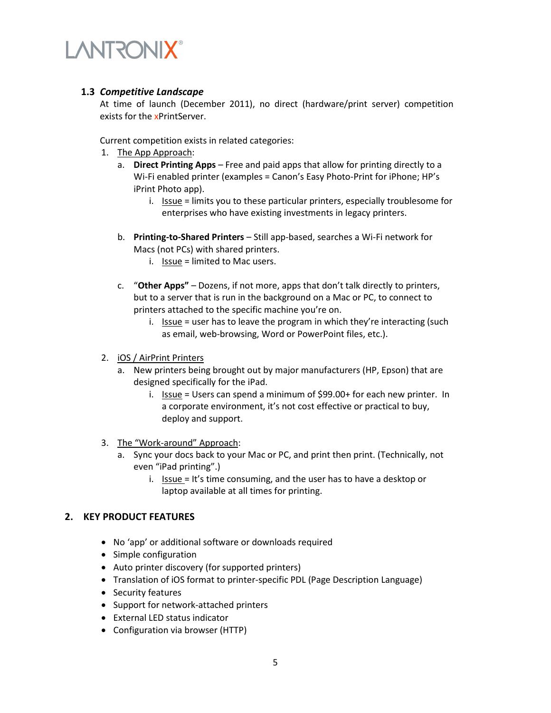### **1.3** *Competitive Landscape*

At time of launch (December 2011), no direct (hardware/print server) competition exists for the xPrintServer.

Current competition exists in related categories:

- 1. The App Approach:
	- a. **Direct Printing Apps** Free and paid apps that allow for printing directly to a Wi-Fi enabled printer (examples = Canon's Easy Photo-Print for iPhone; HP's iPrint Photo app).
		- i. Issue = limits you to these particular printers, especially troublesome for enterprises who have existing investments in legacy printers.
	- b. **Printing-to-Shared Printers** Still app-based, searches a Wi-Fi network for Macs (not PCs) with shared printers.
		- i. Issue = limited to Mac users.
	- c. "**Other Apps"** Dozens, if not more, apps that don't talk directly to printers, but to a server that is run in the background on a Mac or PC, to connect to printers attached to the specific machine you're on.
		- i. Issue = user has to leave the program in which they're interacting (such as email, web-browsing, Word or PowerPoint files, etc.).
- 2. iOS / AirPrint Printers
	- a. New printers being brought out by major manufacturers (HP, Epson) that are designed specifically for the iPad.
		- i. Issue = Users can spend a minimum of  $$99.00+$  for each new printer. In a corporate environment, it's not cost effective or practical to buy, deploy and support.
- 3. The "Work-around" Approach:
	- a. Sync your docs back to your Mac or PC, and print then print. (Technically, not even "iPad printing".)
		- i. Issue = It's time consuming, and the user has to have a desktop or laptop available at all times for printing.

### **2. KEY PRODUCT FEATURES**

- No 'app' or additional software or downloads required
- Simple configuration
- Auto printer discovery (for supported printers)
- Translation of iOS format to printer-specific PDL (Page Description Language)
- Security features
- Support for network-attached printers
- External LED status indicator
- Configuration via browser (HTTP)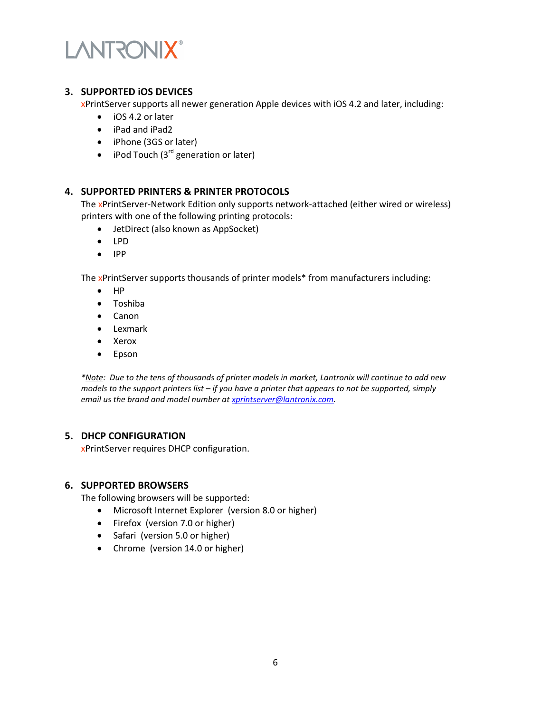

### **3. SUPPORTED iOS DEVICES**

xPrintServer supports all newer generation Apple devices with iOS 4.2 and later, including:

- iOS 4.2 or later
- iPad and iPad2
- iPhone (3GS or later)
- iPod Touch  $(3<sup>rd</sup>$  generation or later)

### **4. SUPPORTED PRINTERS & PRINTER PROTOCOLS**

The xPrintServer-Network Edition only supports network-attached (either wired or wireless) printers with one of the following printing protocols:

- JetDirect (also known as AppSocket)
- LPD
- IPP

The xPrintServer supports thousands of printer models\* from manufacturers including:

- HP
- Toshiba
- Canon
- Lexmark
- Xerox
- Epson

*\*Note: Due to the tens of thousands of printer models in market, Lantronix will continue to add new models to the support printers list – if you have a printer that appears to not be supported, simply email us the brand and model number at xprintserver@lantronix.com.* 

### **5. DHCP CONFIGURATION**

xPrintServer requires DHCP configuration.

#### **6. SUPPORTED BROWSERS**

The following browsers will be supported:

- Microsoft Internet Explorer (version 8.0 or higher)
- Firefox (version 7.0 or higher)
- Safari (version 5.0 or higher)
- Chrome (version 14.0 or higher)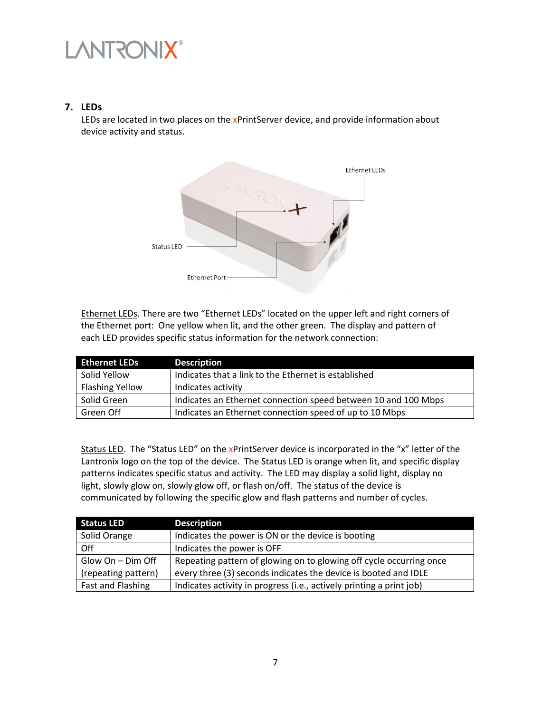### **7. LEDs**

LEDs are located in two places on the xPrintServer device, and provide information about device activity and status.



Ethernet LEDs. There are two "Ethernet LEDs" located on the upper left and right corners of the Ethernet port: One yellow when lit, and the other green. The display and pattern of each LED provides specific status information for the network connection:

| <b>Ethernet LEDs</b>   | <b>Description</b>                                             |
|------------------------|----------------------------------------------------------------|
| Solid Yellow           | Indicates that a link to the Ethernet is established           |
| <b>Flashing Yellow</b> | Indicates activity                                             |
| Solid Green            | Indicates an Ethernet connection speed between 10 and 100 Mbps |
| Green Off              | Indicates an Ethernet connection speed of up to 10 Mbps        |

Status LED. The "Status LED" on the xPrintServer device is incorporated in the "x" letter of the Lantronix logo on the top of the device. The Status LED is orange when lit, and specific display patterns indicates specific status and activity. The LED may display a solid light, display no light, slowly glow on, slowly glow off, or flash on/off. The status of the device is communicated by following the specific glow and flash patterns and number of cycles.

| <b>Status LED</b>   | <b>Description</b>                                                   |
|---------------------|----------------------------------------------------------------------|
| Solid Orange        | Indicates the power is ON or the device is booting                   |
| Off                 | Indicates the power is OFF                                           |
| Glow On - Dim Off   | Repeating pattern of glowing on to glowing off cycle occurring once  |
| (repeating pattern) | every three (3) seconds indicates the device is booted and IDLE      |
| Fast and Flashing   | Indicates activity in progress (i.e., actively printing a print job) |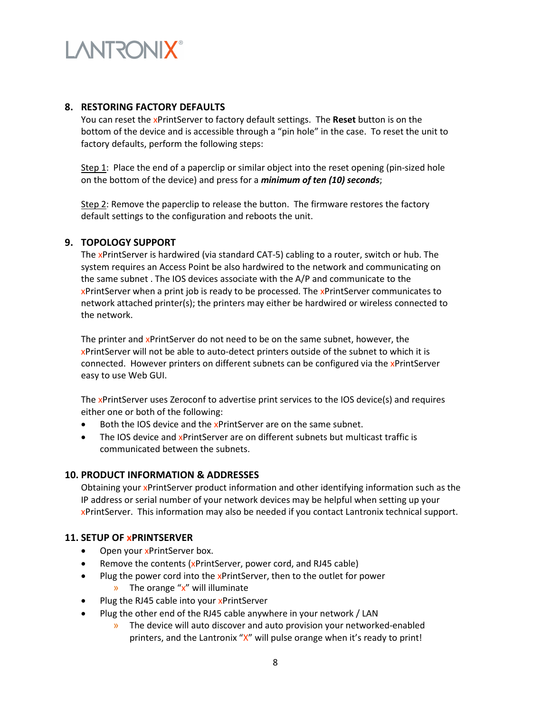### **8. RESTORING FACTORY DEFAULTS**

You can reset the xPrintServer to factory default settings. The **Reset** button is on the bottom of the device and is accessible through a "pin hole" in the case. To reset the unit to factory defaults, perform the following steps:

Step 1: Place the end of a paperclip or similar object into the reset opening (pin-sized hole on the bottom of the device) and press for a *minimum of ten (10) seconds*;

Step 2: Remove the paperclip to release the button. The firmware restores the factory default settings to the configuration and reboots the unit.

### **9. TOPOLOGY SUPPORT**

The xPrintServer is hardwired (via standard CAT-5) cabling to a router, switch or hub. The system requires an Access Point be also hardwired to the network and communicating on the same subnet . The IOS devices associate with the A/P and communicate to the xPrintServer when a print job is ready to be processed. The xPrintServer communicates to network attached printer(s); the printers may either be hardwired or wireless connected to the network.

The printer and xPrintServer do not need to be on the same subnet, however, the xPrintServer will not be able to auto-detect printers outside of the subnet to which it is connected. However printers on different subnets can be configured via the xPrintServer easy to use Web GUI.

The xPrintServer uses Zeroconf to advertise print services to the IOS device(s) and requires either one or both of the following:

- Both the IOS device and the xPrintServer are on the same subnet.
- The IOS device and xPrintServer are on different subnets but multicast traffic is communicated between the subnets.

#### **10. PRODUCT INFORMATION & ADDRESSES**

Obtaining your xPrintServer product information and other identifying information such as the IP address or serial number of your network devices may be helpful when setting up your xPrintServer. This information may also be needed if you contact Lantronix technical support.

### **11. SETUP OF xPRINTSERVER**

- Open your xPrintServer box.
- Remove the contents (xPrintServer, power cord, and RJ45 cable)
- Plug the power cord into the xPrintServer, then to the outlet for power
	- $\lambda$  The orange " $x$ " will illuminate
- Plug the RJ45 cable into your xPrintServer
- Plug the other end of the RJ45 cable anywhere in your network / LAN
	- » The device will auto discover and auto provision your networked-enabled printers, and the Lantronix "X" will pulse orange when it's ready to print!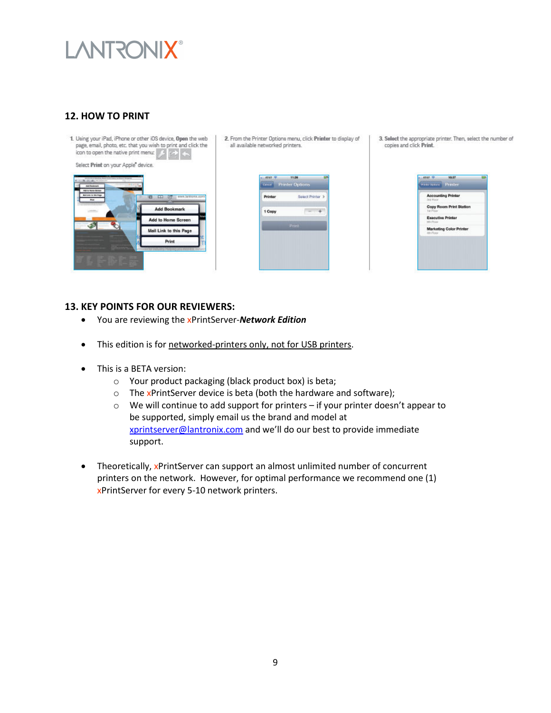### **12. HOW TO PRINT**



2. From the Printer Options menu, click Printer to display of all available networked printers.



3. Select the appropriate printer. Then, select the number of copies and click Print.



### **13. KEY POINTS FOR OUR REVIEWERS:**

- You are reviewing the xPrintServer-*Network Edition*
- This edition is for networked-printers only, not for USB printers.
- This is a BETA version:
	- o Your product packaging (black product box) is beta;
	- $\circ$  The xPrintServer device is beta (both the hardware and software);
	- $\circ$  We will continue to add support for printers if your printer doesn't appear to be supported, simply email us the brand and model at xprintserver@lantronix.com and we'll do our best to provide immediate support.
- Theoretically, xPrintServer can support an almost unlimited number of concurrent printers on the network. However, for optimal performance we recommend one (1) xPrintServer for every 5-10 network printers.